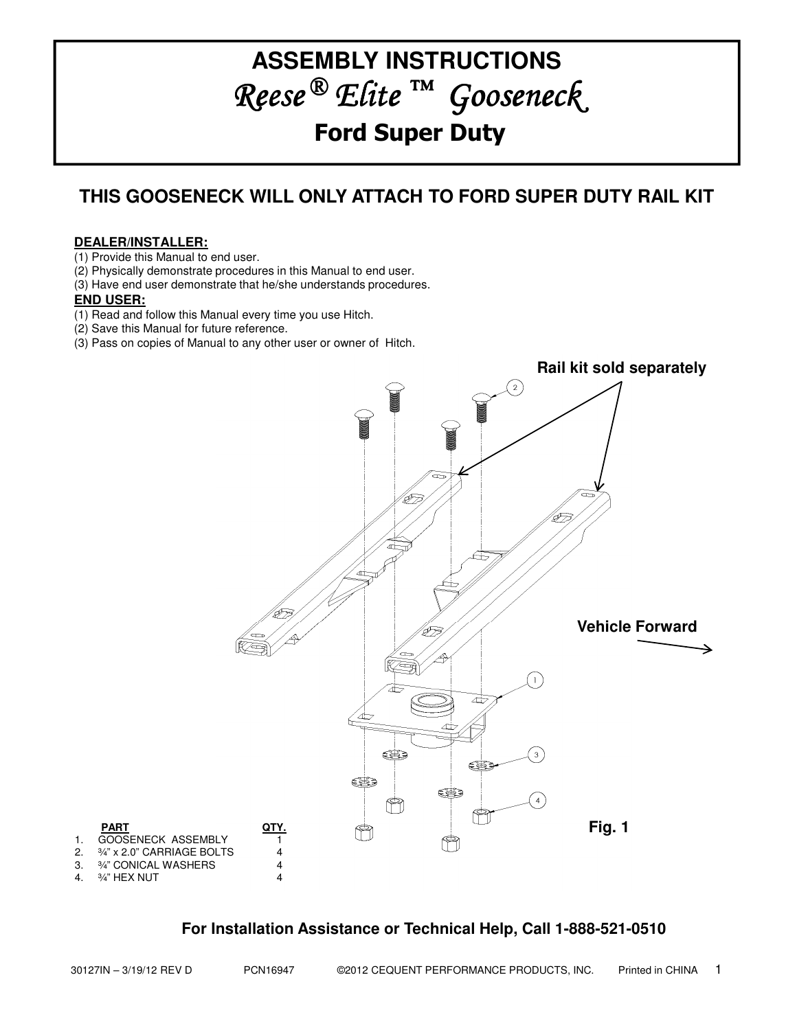# **ASSEMBLY INSTRUCTIONS** Reese ® Elite ™ Gooseneck Ford Super Duty

# **THIS GOOSENECK WILL ONLY ATTACH TO FORD SUPER DUTY RAIL KIT**

## **DEALER/INSTALLER:**

(1) Provide this Manual to end user.

(2) Physically demonstrate procedures in this Manual to end user.

(3) Have end user demonstrate that he/she understands procedures.

## **END USER:**

(1) Read and follow this Manual every time you use Hitch.

(2) Save this Manual for future reference.

(3) Pass on copies of Manual to any other user or owner of Hitch.



# **For Installation Assistance or Technical Help, Call 1-888-521-0510**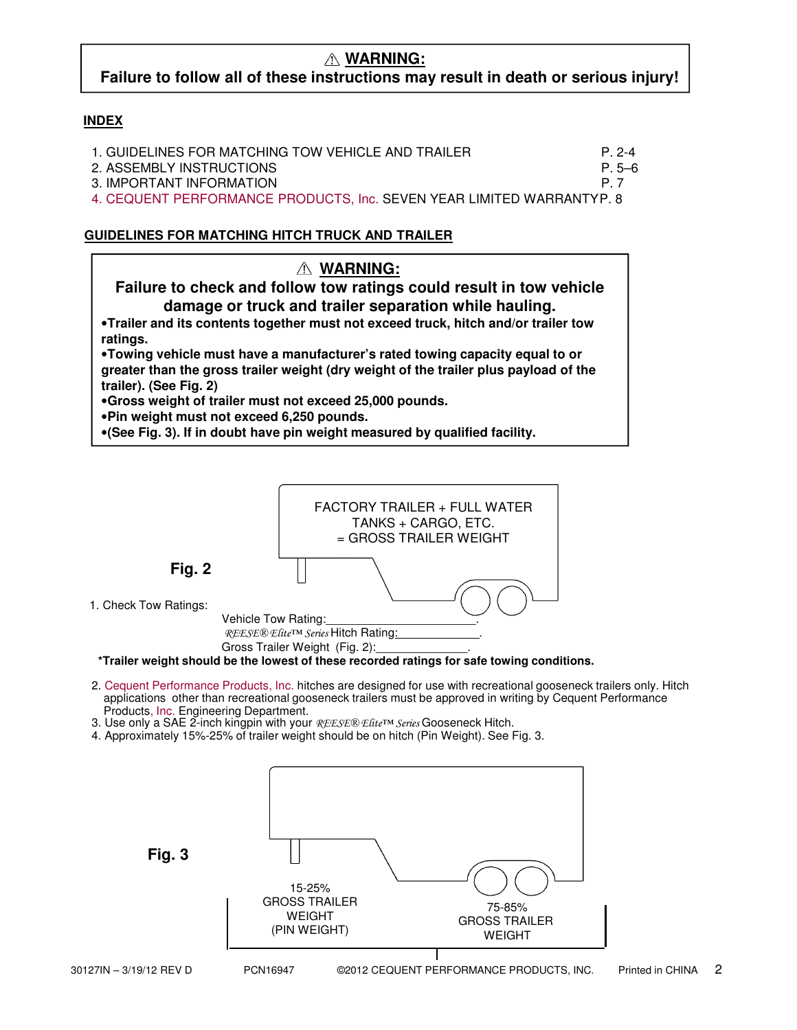# **WARNING:**

# **Failure to follow all of these instructions may result in death or serious injury!**

## **INDEX**

| 1. GUIDELINES FOR MATCHING TOW VEHICLE AND TRAILER                    | $P. 2-4$ |
|-----------------------------------------------------------------------|----------|
| 2. ASSEMBLY INSTRUCTIONS                                              | P.5–6    |
| 3. IMPORTANT INFORMATION                                              | P 7      |
| 4. CEQUENT PERFORMANCE PRODUCTS, Inc. SEVEN YEAR LIMITED WARRANTYP. 8 |          |

## **GUIDELINES FOR MATCHING HITCH TRUCK AND TRAILER**





- 2. Cequent Performance Products, Inc. hitches are designed for use with recreational gooseneck trailers only. Hitch applications other than recreational gooseneck trailers must be approved in writing by Cequent Performance Products, Inc. Engineering Department.
- 3. Use only a SAE 2-inch kingpin with your REESE® Efite™ Series Gooseneck Hitch.
- 4. Approximately 15%-25% of trailer weight should be on hitch (Pin Weight). See Fig. 3.

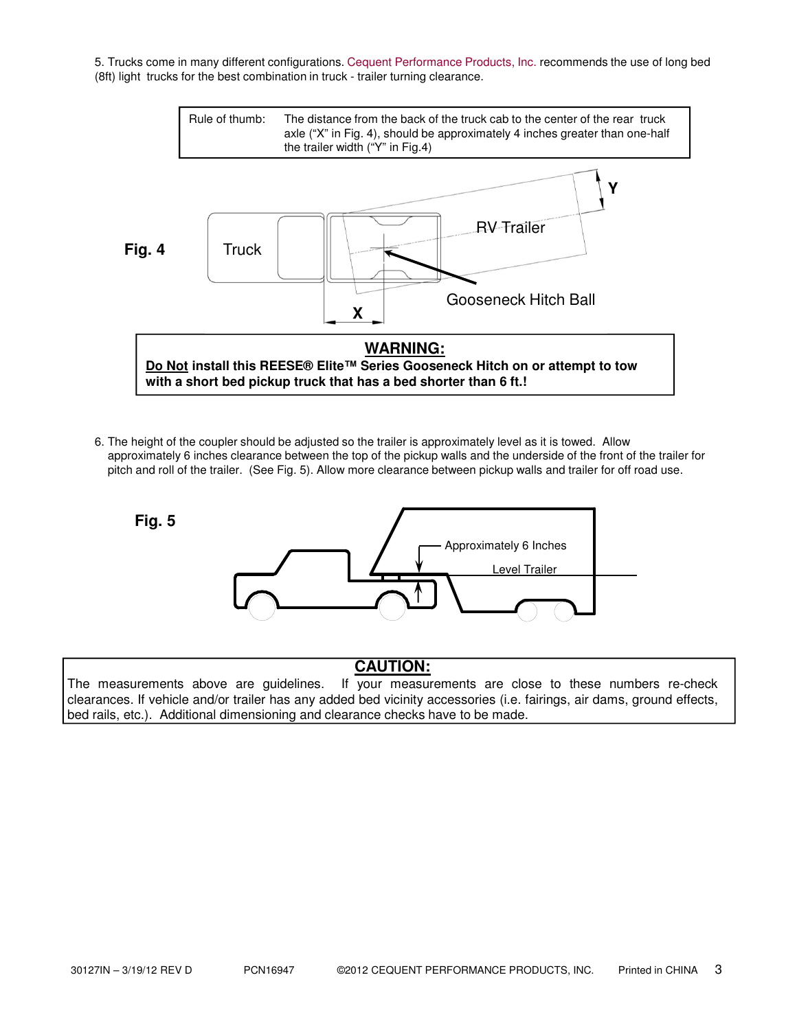5. Trucks come in many different configurations. Cequent Performance Products, Inc. recommends the use of long bed (8ft) light trucks for the best combination in truck - trailer turning clearance.



6. The height of the coupler should be adjusted so the trailer is approximately level as it is towed. Allow approximately 6 inches clearance between the top of the pickup walls and the underside of the front of the trailer for pitch and roll of the trailer. (See Fig. 5). Allow more clearance between pickup walls and trailer for off road use.



# **CAUTION:**

The measurements above are guidelines. If your measurements are close to these numbers re-check clearances. If vehicle and/or trailer has any added bed vicinity accessories (i.e. fairings, air dams, ground effects, bed rails, etc.). Additional dimensioning and clearance checks have to be made.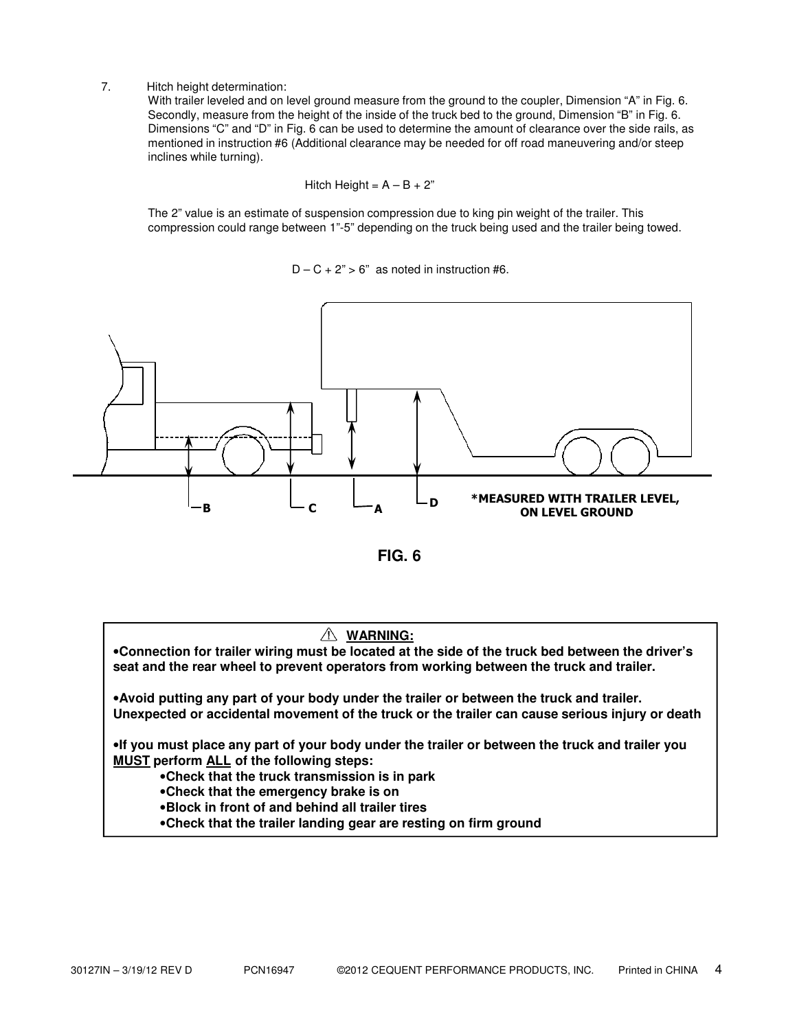7. Hitch height determination:

With trailer leveled and on level ground measure from the ground to the coupler, Dimension "A" in Fig. 6. Secondly, measure from the height of the inside of the truck bed to the ground, Dimension "B" in Fig. 6. Dimensions "C" and "D" in Fig. 6 can be used to determine the amount of clearance over the side rails, as mentioned in instruction #6 (Additional clearance may be needed for off road maneuvering and/or steep inclines while turning).

$$
Hitch Height = A - B + 2"
$$

The 2" value is an estimate of suspension compression due to king pin weight of the trailer. This compression could range between 1"-5" depending on the truck being used and the trailer being towed.

 $D - C + 2$ " > 6" as noted in instruction #6.



**FIG. 6**

### **WARNING:**

•**Connection for trailer wiring must be located at the side of the truck bed between the driver's seat and the rear wheel to prevent operators from working between the truck and trailer.**

•**Avoid putting any part of your body under the trailer or between the truck and trailer. Unexpected or accidental movement of the truck or the trailer can cause serious injury or death**

•**If you must place any part of your body under the trailer or between the truck and trailer you MUST perform ALL of the following steps:**

•**Check that the truck transmission is in park**

•**Check that the emergency brake is on**

•**Block in front of and behind all trailer tires**

•**Check that the trailer landing gear are resting on firm ground**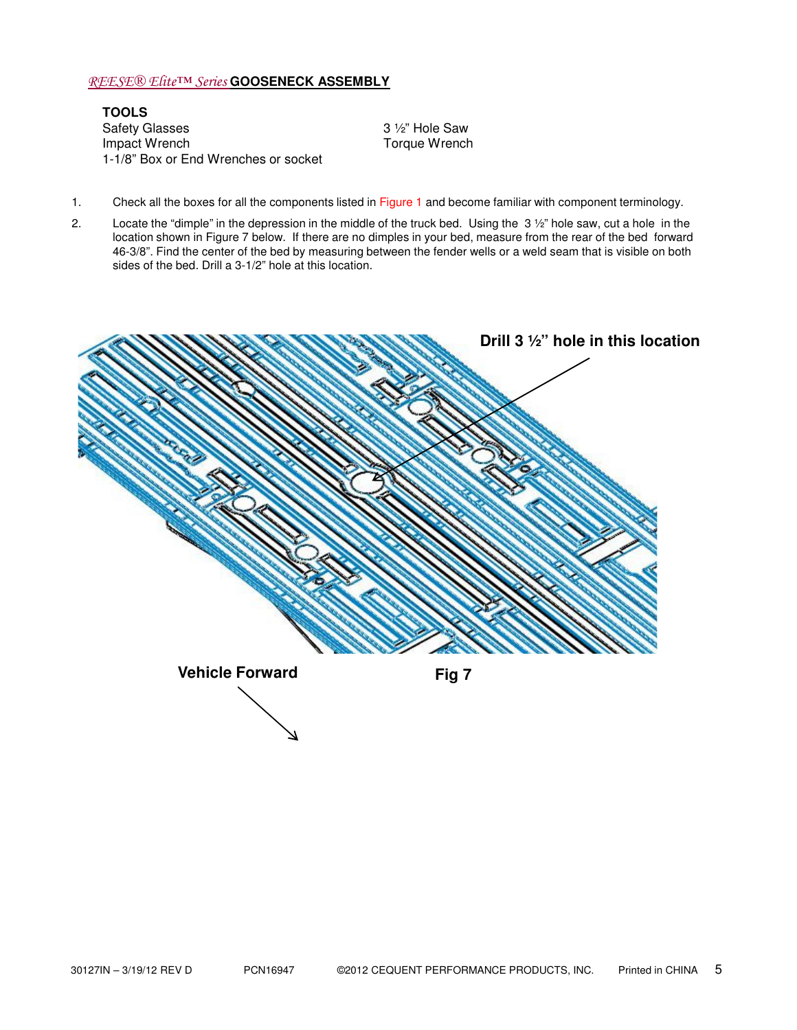### REESE® Elite™ Series **GOOSENECK ASSEMBLY**

**TOOLS** Safety Glasses 3 1/2" Hole Saw Impact Wrench **Torque Wrench** Torque Wrench 1-1/8" Box or End Wrenches or socket

- 1. Check all the boxes for all the components listed in Figure 1 and become familiar with component terminology.
- 2. Locate the "dimple" in the depression in the middle of the truck bed. Using the 3 ½" hole saw, cut a hole in the location shown in Figure 7 below. If there are no dimples in your bed, measure from the rear of the bed forward 46-3/8". Find the center of the bed by measuring between the fender wells or a weld seam that is visible on both sides of the bed. Drill a 3-1/2" hole at this location.

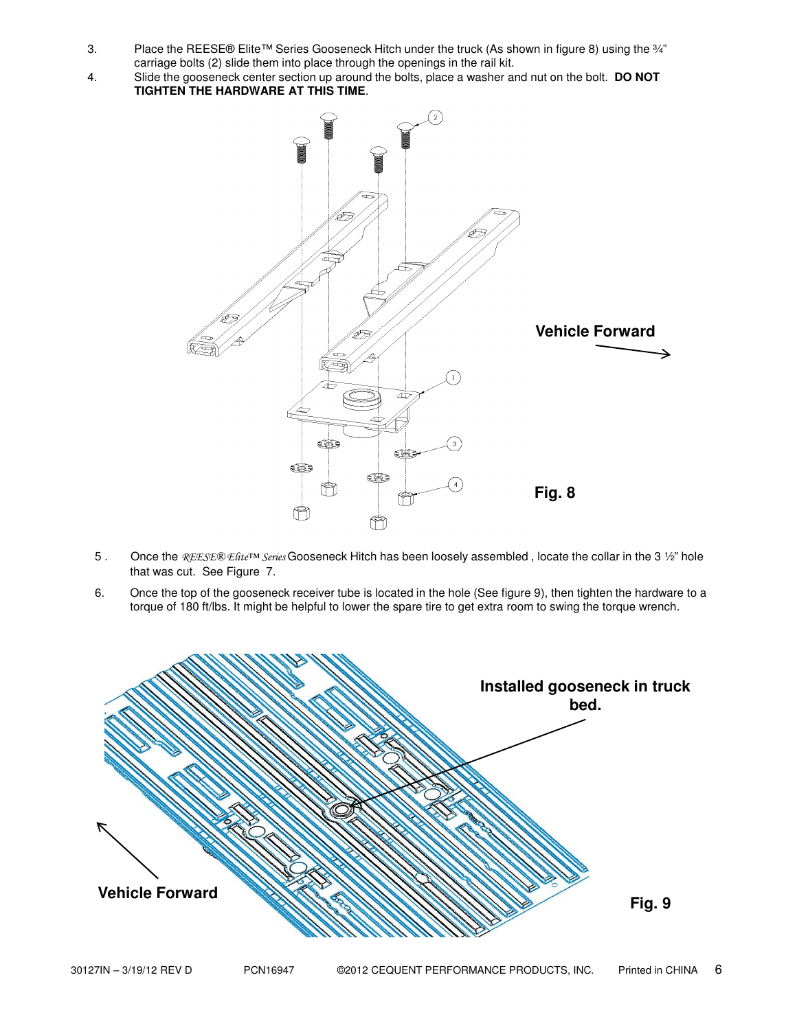- 3. Place the REESE® Elite™ Series Gooseneck Hitch under the truck (As shown in figure 8) using the ¾" carriage bolts (2) slide them into place through the openings in the rail kit.
- 4. Slide the gooseneck center section up around the bolts, place a washer and nut on the bolt. **DO NOT TIGHTEN THE HARDWARE AT THIS TIME**.



- 5. Once the REESE® Efite™ Series Gooseneck Hitch has been loosely assembled, locate the collar in the 3 1/2" hole that was cut. See Figure 7.
- 6. Once the top of the gooseneck receiver tube is located in the hole (See figure 9), then tighten the hardware to a torque of 180 ft/lbs. It might be helpful to lower the spare tire to get extra room to swing the torque wrench.

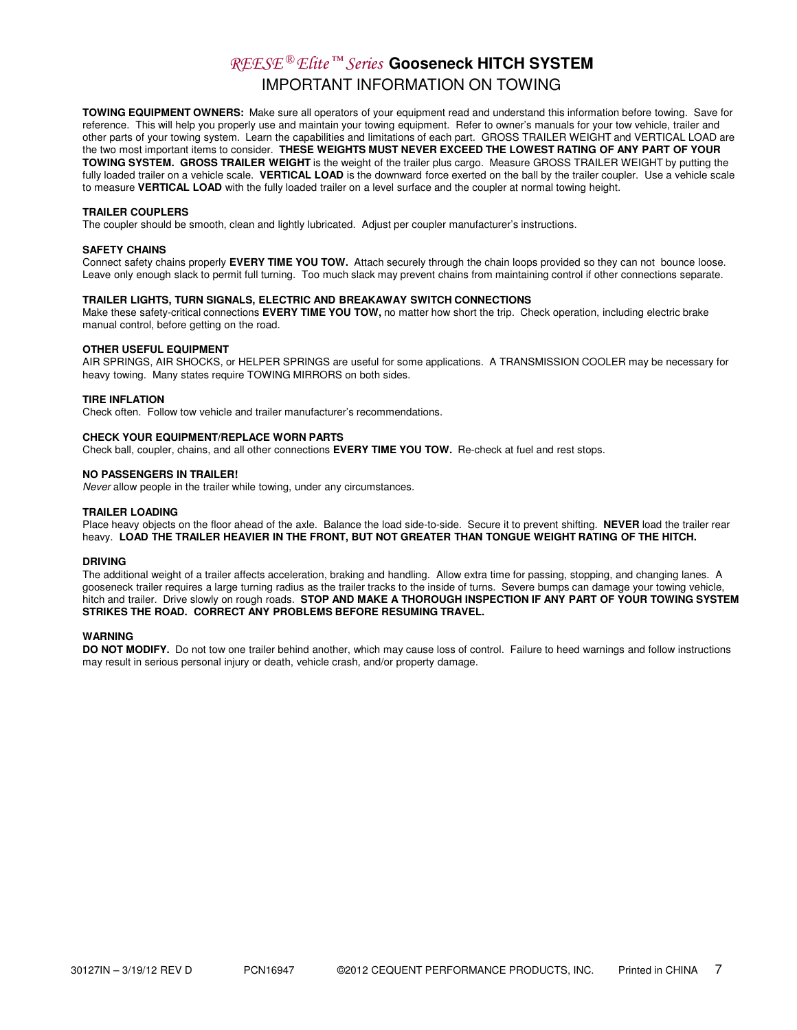# REESE ® Elite ™ Series **Gooseneck HITCH SYSTEM** IMPORTANT INFORMATION ON TOWING

**TOWING EQUIPMENT OWNERS:** Make sure all operators of your equipment read and understand this information before towing. Save for reference. This will help you properly use and maintain your towing equipment. Refer to owner's manuals for your tow vehicle, trailer and other parts of your towing system. Learn the capabilities and limitations of each part. GROSS TRAILER WEIGHT and VERTICAL LOAD are the two most important items to consider. **THESE WEIGHTS MUST NEVER EXCEED THE LOWEST RATING OF ANY PART OF YOUR TOWING SYSTEM. GROSS TRAILER WEIGHT** is the weight of the trailer plus cargo. Measure GROSS TRAILER WEIGHT by putting the fully loaded trailer on a vehicle scale. **VERTICAL LOAD** is the downward force exerted on the ball by the trailer coupler. Use a vehicle scale to measure **VERTICAL LOAD** with the fully loaded trailer on a level surface and the coupler at normal towing height.

#### **TRAILER COUPLERS**

The coupler should be smooth, clean and lightly lubricated. Adjust per coupler manufacturer's instructions.

#### **SAFETY CHAINS**

Connect safety chains properly **EVERY TIME YOU TOW.** Attach securely through the chain loops provided so they can not bounce loose. Leave only enough slack to permit full turning. Too much slack may prevent chains from maintaining control if other connections separate.

#### **TRAILER LIGHTS, TURN SIGNALS, ELECTRIC AND BREAKAWAY SWITCH CONNECTIONS**

Make these safety-critical connections **EVERY TIME YOU TOW,** no matter how short the trip. Check operation, including electric brake manual control, before getting on the road.

#### **OTHER USEFUL EQUIPMENT**

AIR SPRINGS, AIR SHOCKS, or HELPER SPRINGS are useful for some applications. A TRANSMISSION COOLER may be necessary for heavy towing. Many states require TOWING MIRRORS on both sides.

#### **TIRE INFLATION**

Check often. Follow tow vehicle and trailer manufacturer's recommendations.

#### **CHECK YOUR EQUIPMENT/REPLACE WORN PARTS**

Check ball, coupler, chains, and all other connections **EVERY TIME YOU TOW.** Re-check at fuel and rest stops.

#### **NO PASSENGERS IN TRAILER!**

Never allow people in the trailer while towing, under any circumstances.

#### **TRAILER LOADING**

Place heavy objects on the floor ahead of the axle. Balance the load side-to-side. Secure it to prevent shifting. **NEVER** load the trailer rear heavy. **LOAD THE TRAILER HEAVIER IN THE FRONT, BUT NOT GREATER THAN TONGUE WEIGHT RATING OF THE HITCH.**

#### **DRIVING**

The additional weight of a trailer affects acceleration, braking and handling. Allow extra time for passing, stopping, and changing lanes. A gooseneck trailer requires a large turning radius as the trailer tracks to the inside of turns. Severe bumps can damage your towing vehicle, hitch and trailer. Drive slowly on rough roads. **STOP AND MAKE A THOROUGH INSPECTION IF ANY PART OF YOUR TOWING SYSTEM STRIKES THE ROAD. CORRECT ANY PROBLEMS BEFORE RESUMING TRAVEL.**

#### **WARNING**

**DO NOT MODIFY.** Do not tow one trailer behind another, which may cause loss of control. Failure to heed warnings and follow instructions may result in serious personal injury or death, vehicle crash, and/or property damage.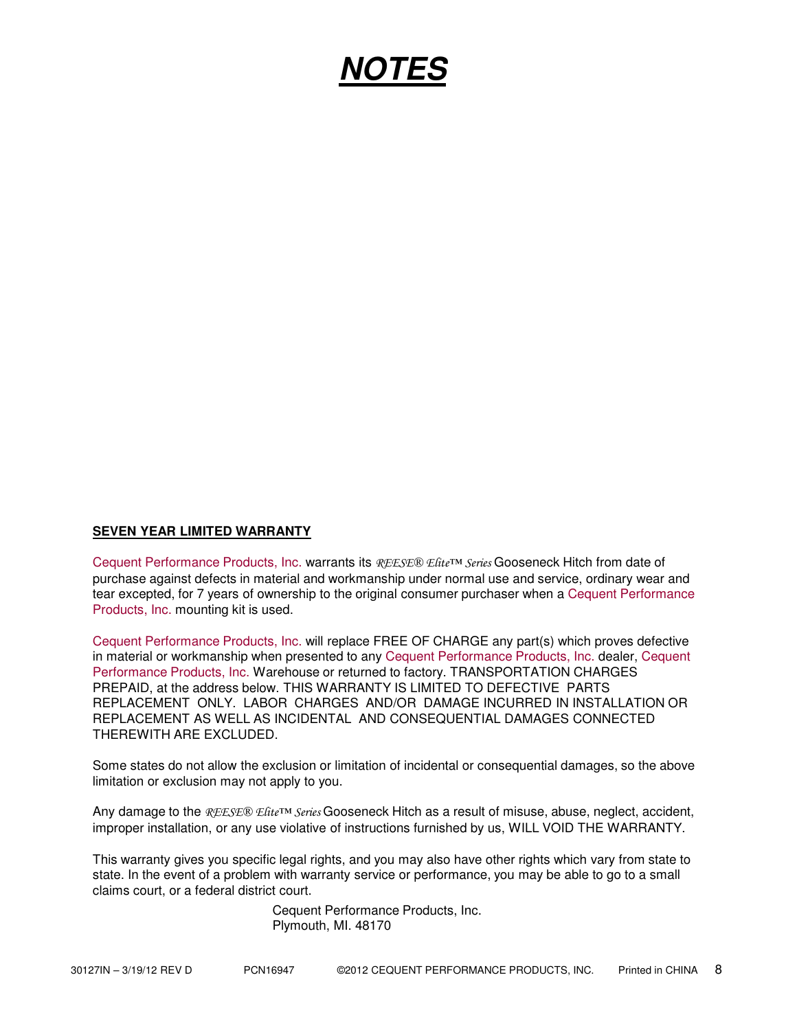# **NOTES**

## **SEVEN YEAR LIMITED WARRANTY**

Cequent Performance Products, Inc. warrants its REESE® Elite™ Series Gooseneck Hitch from date of purchase against defects in material and workmanship under normal use and service, ordinary wear and tear excepted, for 7 years of ownership to the original consumer purchaser when a Cequent Performance Products, Inc. mounting kit is used.

Cequent Performance Products, Inc. will replace FREE OF CHARGE any part(s) which proves defective in material or workmanship when presented to any Cequent Performance Products, Inc. dealer, Cequent Performance Products, Inc. Warehouse or returned to factory. TRANSPORTATION CHARGES PREPAID, at the address below. THIS WARRANTY IS LIMITED TO DEFECTIVE PARTS REPLACEMENT ONLY. LABOR CHARGES AND/OR DAMAGE INCURRED IN INSTALLATION OR REPLACEMENT AS WELL AS INCIDENTAL AND CONSEQUENTIAL DAMAGES CONNECTED THEREWITH ARE EXCLUDED.

Some states do not allow the exclusion or limitation of incidental or consequential damages, so the above limitation or exclusion may not apply to you.

Any damage to the REESE® Elite™ Series Gooseneck Hitch as a result of misuse, abuse, neglect, accident, improper installation, or any use violative of instructions furnished by us, WILL VOID THE WARRANTY.

This warranty gives you specific legal rights, and you may also have other rights which vary from state to state. In the event of a problem with warranty service or performance, you may be able to go to a small claims court, or a federal district court.

> Cequent Performance Products, Inc. Plymouth, MI. 48170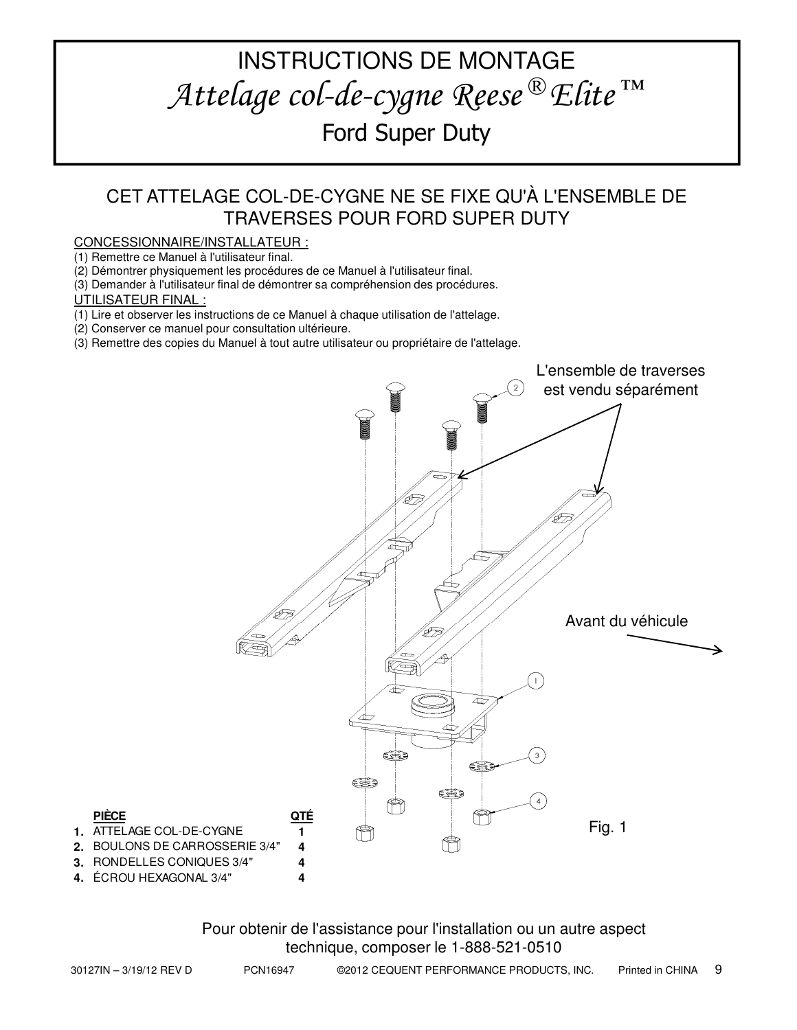# INSTRUCTIONS DE MONTAGE Attelage col-de-cygne Reese ® Elite ™ Ford Super Duty

# CET ATTELAGE COL-DE-CYGNE NE SE FIXE QU'À L'ENSEMBLE DE TRAVERSES POUR FORD SUPER DUTY

## CONCESSIONNAIRE/INSTALLATEUR :

(1) Remettre ce Manuel à l'utilisateur final.

(2) Démontrer physiquement les procédures de ce Manuel à l'utilisateur final.

(3) Demander à l'utilisateur final de démontrer sa compréhension des procédures.

UTILISATEUR FINAL :

(1) Lire et observer les instructions de ce Manuel à chaque utilisation de l'attelage.

(2) Conserver ce manuel pour consultation ultérieure.

(3) Remettre des copies du Manuel à tout autre utilisateur ou propriétaire de l'attelage.



Pour obtenir de l'assistance pour l'installation ou un autre aspect technique, composer le 1-888-521-0510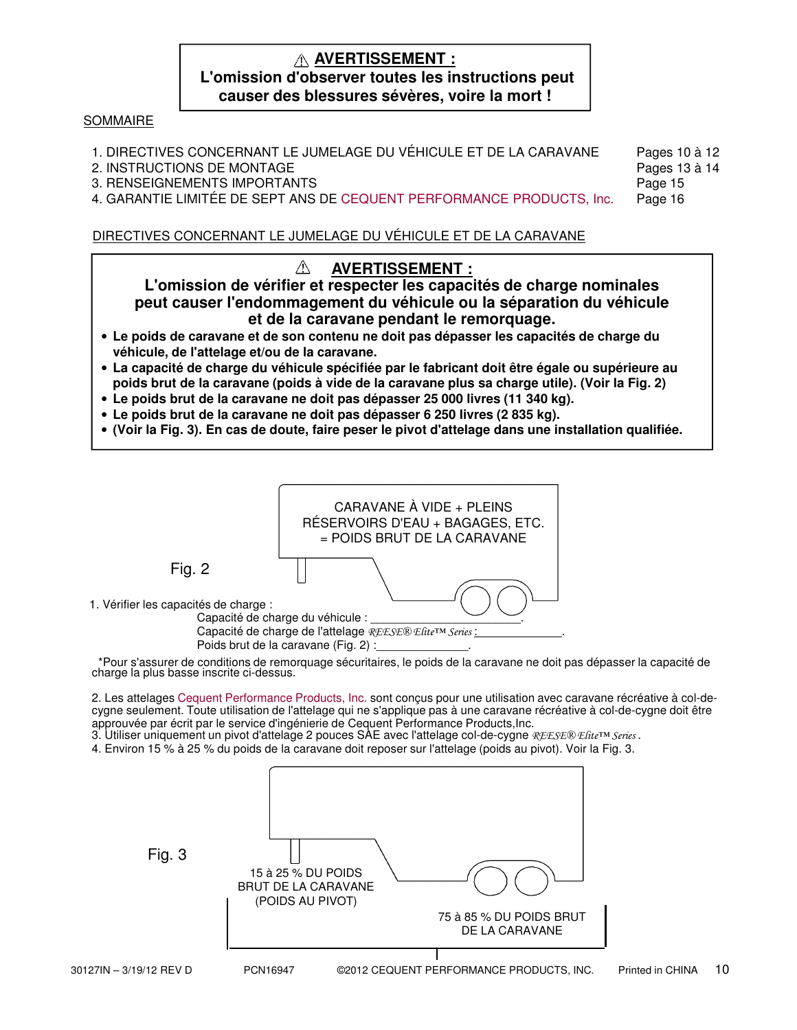# **AVERTISSEMENT : L'omission d'observer toutes les instructions peut causer des blessures sévères, voire la mort !**

## SOMMAIRE

| 1. DIRECTIVES CONCERNANT LE JUMELAGE DU VÉHICULE ET DE LA CARAVANE    | Pages 10 à 12 |
|-----------------------------------------------------------------------|---------------|
| 2. INSTRUCTIONS DE MONTAGE                                            | Pages 13 à 14 |
| 3. RENSEIGNEMENTS IMPORTANTS                                          | Page 15       |
| 4. GARANTIE LIMITÉE DE SEPT ANS DE CEQUENT PERFORMANCE PRODUCTS, Inc. | Page 16       |

DIRECTIVES CONCERNANT LE JUMELAGE DU VÉHICULE ET DE LA CARAVANE

#### $\wedge$ **AVERTISSEMENT :**

**L'omission de vérifier et respecter les capacités de charge nominales peut causer l'endommagement du véhicule ou la séparation du véhicule et de la caravane pendant le remorquage.**

- **Le poids de caravane et de son contenu ne doit pas dépasser les capacités de charge du véhicule, de l'attelage et/ou de la caravane.**
- **La capacité de charge du véhicule spécifiée par le fabricant doit être égale ou supérieure au poids brut de la caravane (poids à vide de la caravane plus sa charge utile). (Voir la Fig. 2)**
- **Le poids brut de la caravane ne doit pas dépasser 25 000 livres (11 340 kg).**
- **Le poids brut de la caravane ne doit pas dépasser 6 250 livres (2 835 kg).**
- **(Voir la Fig. 3). En cas de doute, faire peser le pivot d'attelage dans une installation qualifiée.**

![](_page_9_Figure_11.jpeg)

\*Pour s'assurer de conditions de remorquage sécuritaires, le poids de la caravane ne doit pas dépasser la capacité de charge la plus basse inscrite ci-dessus.

2. Les attelages Cequent Performance Products, Inc. sont conçus pour une utilisation avec caravane récréative à col-decygne seulement. Toute utilisation de l'attelage qui ne s'applique pas à une caravane récréative à col-de-cygne doit être approuvée par écrit par le service d'ingénierie de Cequent Performance Products,Inc.

3. Utiliser uniquement un pivot d'attelage 2 pouces SAE avec l'attelage col-de-cygne *REESE® Elite*™ *Series* .

4. Environ 15 % à 25 % du poids de la caravane doit reposer sur l'attelage (poids au pivot). Voir la Fig. 3.

| Fig. 3                  | 15 à 25 % DU POIDS<br><b>BRUT DE LA CARAVANE</b><br>(POIDS AU PIVOT) | 75 à 85 % DU POIDS BRUT<br>DE LA CARAVANE                          |
|-------------------------|----------------------------------------------------------------------|--------------------------------------------------------------------|
| 30127IN – 3/19/12 REV D | PCN16947                                                             | 10<br>Printed in CHINA<br>@2012 CEQUENT PERFORMANCE PRODUCTS, INC. |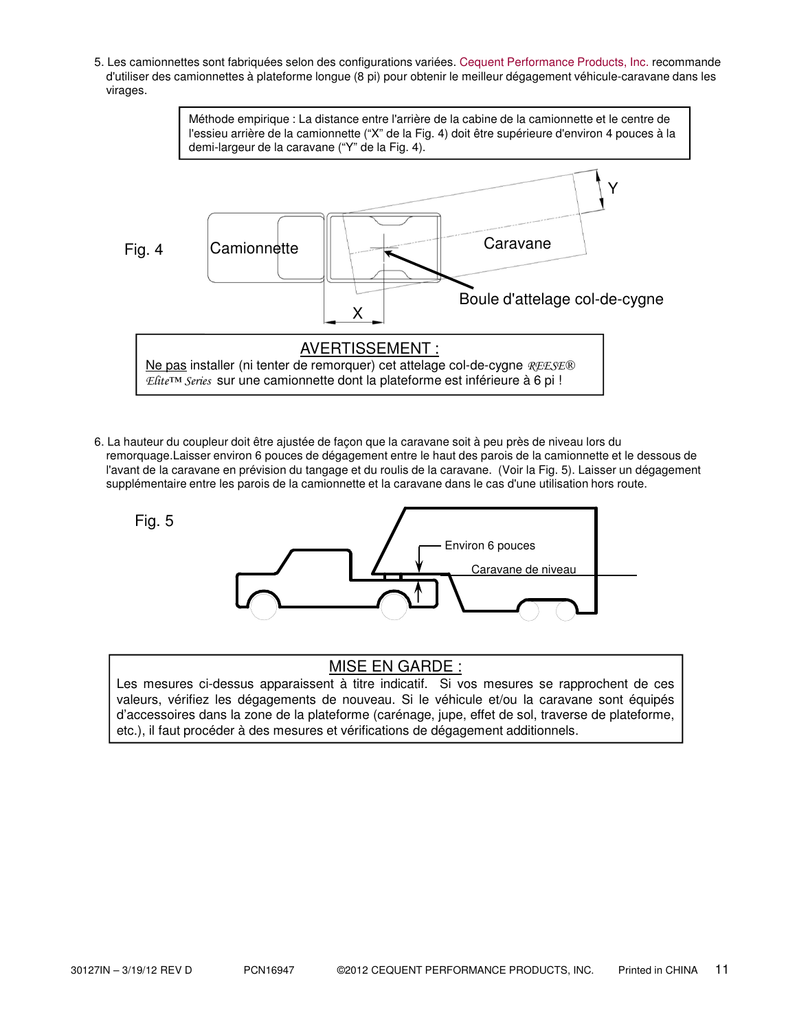5. Les camionnettes sont fabriquées selon des configurations variées. Cequent Performance Products, Inc. recommande d'utiliser des camionnettes à plateforme longue (8 pi) pour obtenir le meilleur dégagement véhicule-caravane dans les virages.

![](_page_10_Figure_1.jpeg)

6. La hauteur du coupleur doit être ajustée de façon que la caravane soit à peu près de niveau lors du remorquage.Laisser environ 6 pouces de dégagement entre le haut des parois de la camionnette et le dessous de l'avant de la caravane en prévision du tangage et du roulis de la caravane. (Voir la Fig. 5). Laisser un dégagement supplémentaire entre les parois de la camionnette et la caravane dans le cas d'une utilisation hors route.

![](_page_10_Figure_3.jpeg)

# MISE EN GARDE :

Les mesures ci-dessus apparaissent à titre indicatif. Si vos mesures se rapprochent de ces valeurs, vérifiez les dégagements de nouveau. Si le véhicule et/ou la caravane sont équipés d'accessoires dans la zone de la plateforme (carénage, jupe, effet de sol, traverse de plateforme, etc.), il faut procéder à des mesures et vérifications de dégagement additionnels.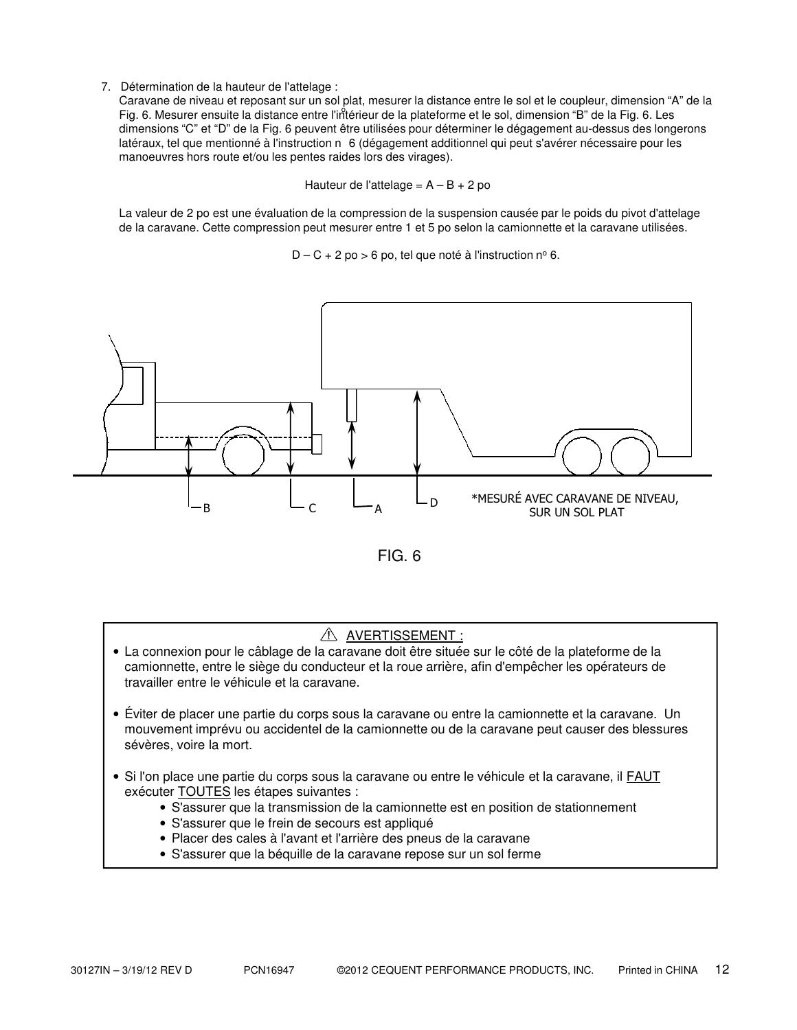7. Détermination de la hauteur de l'attelage :

Caravane de niveau et reposant sur un sol plat, mesurer la distance entre le sol et le coupleur, dimension "A" de la Fig. 6. Mesurer ensuite la distance entre l'intérieur de la plateforme et le sol, dimension "B" de la Fig. 6. Les dimensions "C" et "D" de la Fig. 6 peuvent être utilisées pour déterminer le dégagement au-dessus des longerons latéraux, tel que mentionné à l'instruction n 6 (dégagement additionnel qui peut s'avérer nécessaire pour les manoeuvres hors route et/ou les pentes raides lors des virages).

Hauteur de l'attelage =  $A - B + 2$  po

La valeur de 2 po est une évaluation de la compression de la suspension causée par le poids du pivot d'attelage de la caravane. Cette compression peut mesurer entre 1 et 5 po selon la camionnette et la caravane utilisées.

 $D - C + 2$  po > 6 po, tel que noté à l'instruction nº 6.

![](_page_11_Figure_5.jpeg)

![](_page_11_Figure_6.jpeg)

## $\triangle$  AVERTISSEMENT :

- La connexion pour le câblage de la caravane doit être située sur le côté de la plateforme de la camionnette, entre le siège du conducteur et la roue arrière, afin d'empêcher les opérateurs de travailler entre le véhicule et la caravane.
- Éviter de placer une partie du corps sous la caravane ou entre la camionnette et la caravane. Un mouvement imprévu ou accidentel de la camionnette ou de la caravane peut causer des blessures sévères, voire la mort.
- Si l'on place une partie du corps sous la caravane ou entre le véhicule et la caravane, il FAUT exécuter TOUTES les étapes suivantes :
	- S'assurer que la transmission de la camionnette est en position de stationnement
	- S'assurer que le frein de secours est appliqué
	- Placer des cales à l'avant et l'arrière des pneus de la caravane
	- S'assurer que la béquille de la caravane repose sur un sol ferme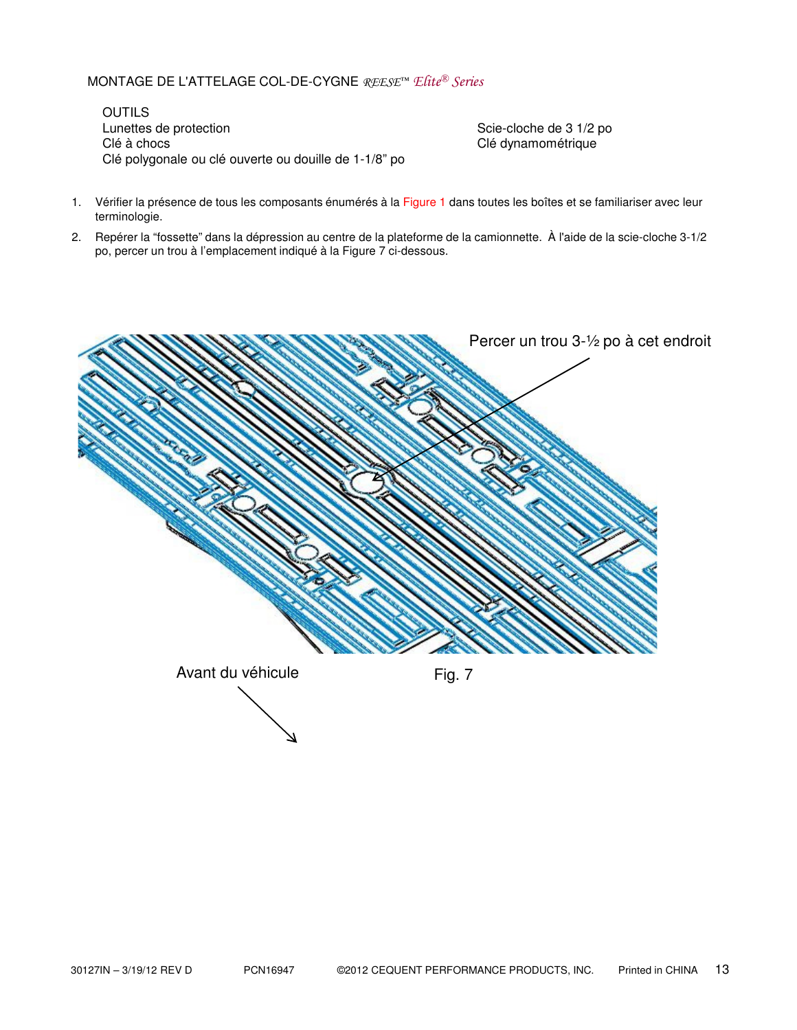# MONTAGE DE L'ATTELAGE COL-DE-CYGNE $\mathcal{RESE}^{\mathfrak{m}}$  Elite® Series

**OUTILS** Lunettes de protection  $\overline{\phantom{0}}$  Scie-cloche de 3 1/2 po Clé à chocs choire de la contracte de la contracte de la choire de la choire de la choire de la choire de la c Clé polygonale ou clé ouverte ou douille de 1-1/8" po

- 1. Vérifier la présence de tous les composants énumérés à la Figure 1 dans toutes les boîtes et se familiariser avec leur terminologie.
- 2. Repérer la "fossette" dans la dépression au centre de la plateforme de la camionnette. À l'aide de la scie-cloche 3-1/2 po, percer un trou à l'emplacement indiqué à la Figure 7 ci-dessous.

![](_page_12_Figure_5.jpeg)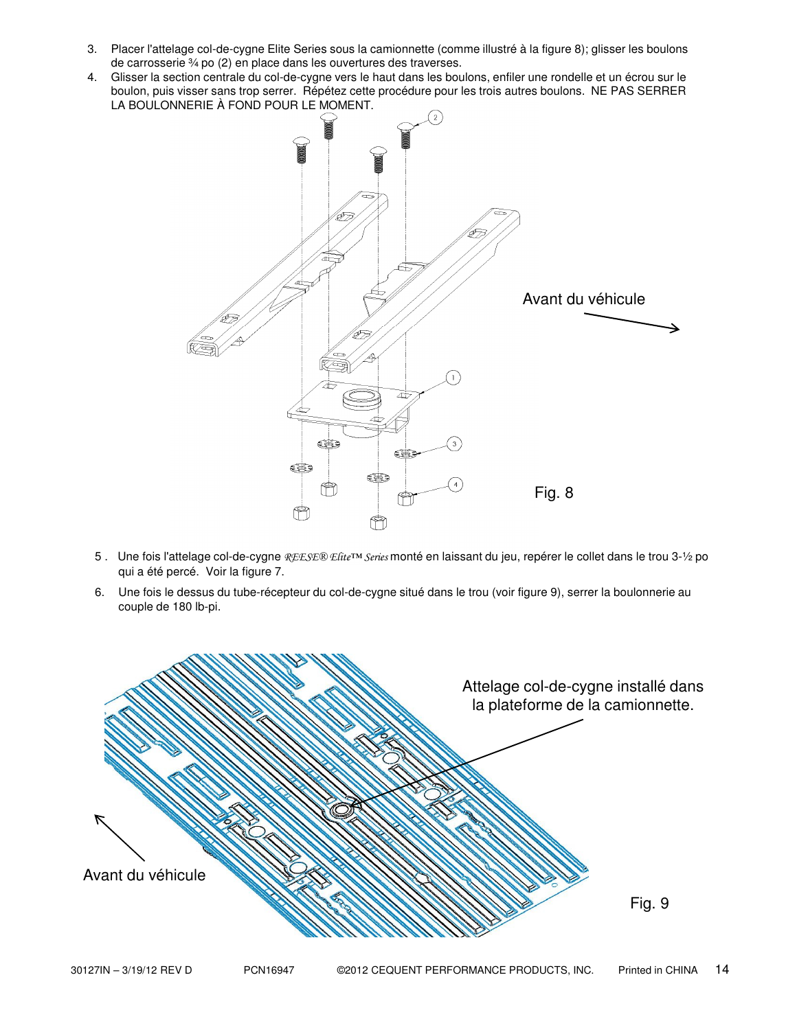- 3. Placer l'attelage col-de-cygne Elite Series sous la camionnette (comme illustré à la figure 8); glisser les boulons de carrosserie ¾ po (2) en place dans les ouvertures des traverses.
- 4. Glisser la section centrale du col-de-cygne vers le haut dans les boulons, enfiler une rondelle et un écrou sur le boulon, puis visser sans trop serrer. Répétez cette procédure pour les trois autres boulons. NE PAS SERRER LA BOULONNERIE À FOND POUR LE MOMENT.

![](_page_13_Figure_2.jpeg)

- 5. Une fois l'attelage col-de-cygne REESE® Efite™ Series monté en laissant du jeu, repérer le collet dans le trou 3-1/2 po qui a été percé. Voir la figure 7.
- 6. Une fois le dessus du tube-récepteur du col-de-cygne situé dans le trou (voir figure 9), serrer la boulonnerie au couple de 180 lb-pi.

![](_page_13_Figure_5.jpeg)

30127IN – 3/19/12 REV D PCN16947 ©2012 CEQUENT PERFORMANCE PRODUCTS, INC. Printed in CHINA 14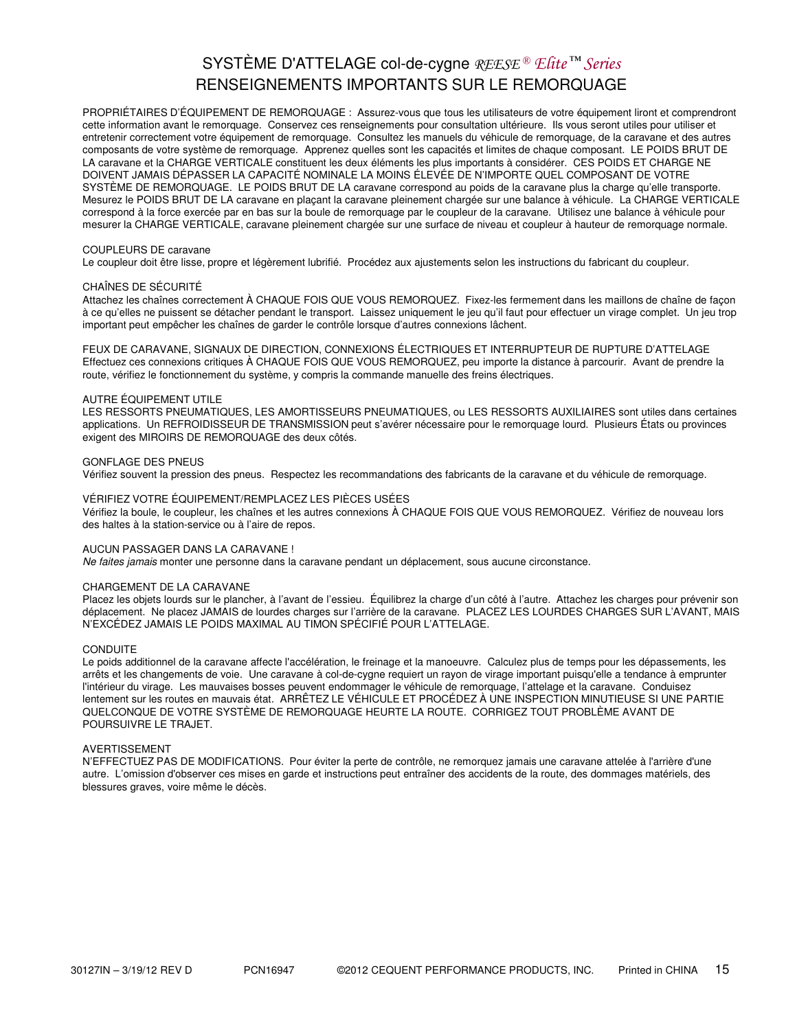# SYSTÈME D'ATTELAGE col-de-cygne REESE® Elite<sup>™</sup> Series RENSEIGNEMENTS IMPORTANTS SUR LE REMORQUAGE

PROPRIÉTAIRES D'ÉQUIPEMENT DE REMORQUAGE : Assurez-vous que tous les utilisateurs de votre équipement liront et comprendront cette information avant le remorquage. Conservez ces renseignements pour consultation ultérieure. Ils vous seront utiles pour utiliser et entretenir correctement votre équipement de remorquage. Consultez les manuels du véhicule de remorquage, de la caravane et des autres composants de votre système de remorquage. Apprenez quelles sont les capacités et limites de chaque composant. LE POIDS BRUT DE LA caravane et la CHARGE VERTICALE constituent les deux éléments les plus importants à considérer. CES POIDS ET CHARGE NE DOIVENT JAMAIS DÉPASSER LA CAPACITÉ NOMINALE LA MOINS ÉLEVÉE DE N'IMPORTE QUEL COMPOSANT DE VOTRE SYSTÈME DE REMORQUAGE. LE POIDS BRUT DE LA caravane correspond au poids de la caravane plus la charge qu'elle transporte. Mesurez le POIDS BRUT DE LA caravane en plaçant la caravane pleinement chargée sur une balance à véhicule. La CHARGE VERTICALE correspond à la force exercée par en bas sur la boule de remorquage par le coupleur de la caravane. Utilisez une balance à véhicule pour mesurer la CHARGE VERTICALE, caravane pleinement chargée sur une surface de niveau et coupleur à hauteur de remorquage normale.

#### COUPLEURS DE caravane

Le coupleur doit être lisse, propre et légèrement lubrifié. Procédez aux ajustements selon les instructions du fabricant du coupleur.

#### CHAÎNES DE SÉCURITÉ

Attachez les chaînes correctement À CHAQUE FOIS QUE VOUS REMORQUEZ. Fixez-les fermement dans les maillons de chaîne de façon à ce qu'elles ne puissent se détacher pendant le transport. Laissez uniquement le jeu qu'il faut pour effectuer un virage complet. Un jeu trop important peut empêcher les chaînes de garder le contrôle lorsque d'autres connexions lâchent.

FEUX DE CARAVANE, SIGNAUX DE DIRECTION, CONNEXIONS ÉLECTRIQUES ET INTERRUPTEUR DE RUPTURE D'ATTELAGE Effectuez ces connexions critiques À CHAQUE FOIS QUE VOUS REMORQUEZ, peu importe la distance à parcourir. Avant de prendre la route, vérifiez le fonctionnement du système, y compris la commande manuelle des freins électriques.

#### AUTRE ÉQUIPEMENT UTILE

LES RESSORTS PNEUMATIQUES, LES AMORTISSEURS PNEUMATIQUES, ou LES RESSORTS AUXILIAIRES sont utiles dans certaines applications. Un REFROIDISSEUR DE TRANSMISSION peut s'avérer nécessaire pour le remorquage lourd. Plusieurs États ou provinces exigent des MIROIRS DE REMORQUAGE des deux côtés.

#### GONFLAGE DES PNEUS

Vérifiez souvent la pression des pneus. Respectez les recommandations des fabricants de la caravane et du véhicule de remorquage.

#### VÉRIFIEZ VOTRE ÉQUIPEMENT/REMPLACEZ LES PIÈCES USÉES

Vérifiez la boule, le coupleur, les chaînes et les autres connexions À CHAQUE FOIS QUE VOUS REMORQUEZ. Vérifiez de nouveau lors des haltes à la station-service ou à l'aire de repos.

#### AUCUN PASSAGER DANS LA CARAVANE !

Ne faites jamais monter une personne dans la caravane pendant un déplacement, sous aucune circonstance.

#### CHARGEMENT DE LA CARAVANE

Placez les objets lourds sur le plancher, à l'avant de l'essieu. Équilibrez la charge d'un côté à l'autre. Attachez les charges pour prévenir son déplacement. Ne placez JAMAIS de lourdes charges sur l'arrière de la caravane. PLACEZ LES LOURDES CHARGES SUR L'AVANT, MAIS N'EXCÉDEZ JAMAIS LE POIDS MAXIMAL AU TIMON SPÉCIFIÉ POUR L'ATTELAGE.

#### **CONDUITE**

Le poids additionnel de la caravane affecte l'accélération, le freinage et la manoeuvre. Calculez plus de temps pour les dépassements, les arrêts et les changements de voie. Une caravane à col-de-cygne requiert un rayon de virage important puisqu'elle a tendance à emprunter l'intérieur du virage. Les mauvaises bosses peuvent endommager le véhicule de remorquage, l'attelage et la caravane. Conduisez lentement sur les routes en mauvais état. ARRÊTEZ LE VÉHICULE ET PROCÉDEZ À UNE INSPECTION MINUTIEUSE SI UNE PARTIE QUELCONQUE DE VOTRE SYSTÈME DE REMORQUAGE HEURTE LA ROUTE. CORRIGEZ TOUT PROBLÈME AVANT DE POURSUIVRE LE TRAJET.

#### AVERTISSEMENT

N'EFFECTUEZ PAS DE MODIFICATIONS. Pour éviter la perte de contrôle, ne remorquez jamais une caravane attelée à l'arrière d'une autre. L'omission d'observer ces mises en garde et instructions peut entraîner des accidents de la route, des dommages matériels, des blessures graves, voire même le décès.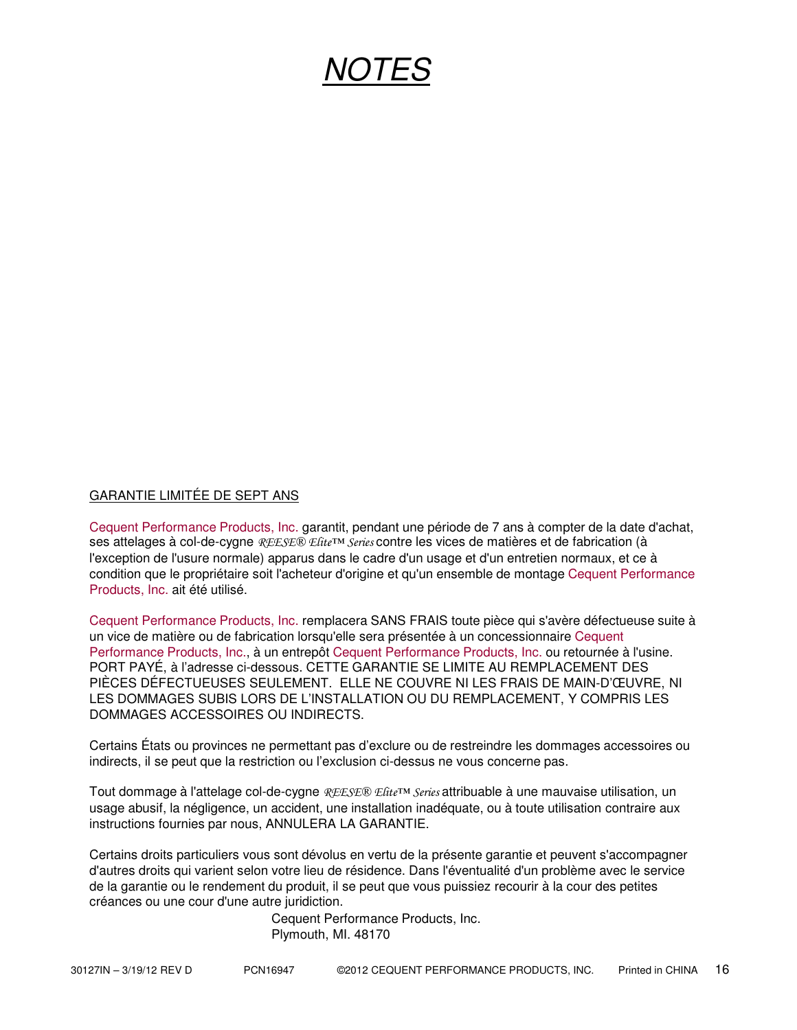# NOTES

## GARANTIE LIMITÉE DE SEPT ANS

Cequent Performance Products, Inc. garantit, pendant une période de 7 ans à compter de la date d'achat, ses attelages à col-de-cygne REESE® Estte™ Series contre les vices de matières et de fabrication (à l'exception de l'usure normale) apparus dans le cadre d'un usage et d'un entretien normaux, et ce à condition que le propriétaire soit l'acheteur d'origine et qu'un ensemble de montage Cequent Performance Products, Inc. ait été utilisé.

Cequent Performance Products, Inc. remplacera SANS FRAIS toute pièce qui s'avère défectueuse suite à un vice de matière ou de fabrication lorsqu'elle sera présentée à un concessionnaire Cequent Performance Products, Inc., à un entrepôt Cequent Performance Products, Inc. ou retournée à l'usine. PORT PAYÉ, à l'adresse ci-dessous. CETTE GARANTIE SE LIMITE AU REMPLACEMENT DES PIÈCES DÉFECTUEUSES SEULEMENT. ELLE NE COUVRE NI LES FRAIS DE MAIN-D'ŒUVRE, NI LES DOMMAGES SUBIS LORS DE L'INSTALLATION OU DU REMPLACEMENT, Y COMPRIS LES DOMMAGES ACCESSOIRES OU INDIRECTS.

Certains États ou provinces ne permettant pas d'exclure ou de restreindre les dommages accessoires ou indirects, il se peut que la restriction ou l'exclusion ci-dessus ne vous concerne pas.

Tout dommage à l'attelage col-de-cygne REESE® Elite<sup>™</sup> Series attribuable à une mauvaise utilisation, un usage abusif, la négligence, un accident, une installation inadéquate, ou à toute utilisation contraire aux instructions fournies par nous, ANNULERA LA GARANTIE.

Certains droits particuliers vous sont dévolus en vertu de la présente garantie et peuvent s'accompagner d'autres droits qui varient selon votre lieu de résidence. Dans l'éventualité d'un problème avec le service de la garantie ou le rendement du produit, il se peut que vous puissiez recourir à la cour des petites créances ou une cour d'une autre juridiction.

> Cequent Performance Products, Inc. Plymouth, MI. 48170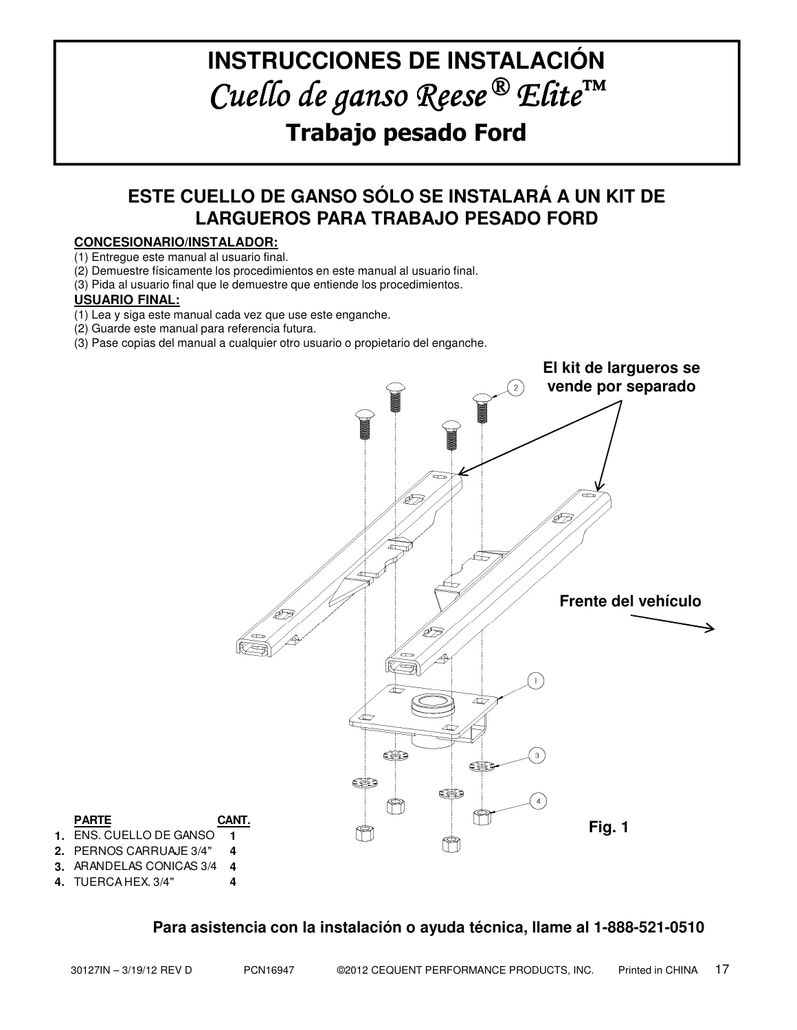# **INSTRUCCIONES DE INSTALACIÓN** Cuello de ganso Reese<sup>®</sup> Elite<sup>™</sup> Trabajo pesado Ford

# **ESTE CUELLO DE GANSO SÓLO SE INSTALARÁ A UN KIT DE LARGUEROS PARA TRABAJO PESADO FORD**

## **CONCESIONARIO/INSTALADOR:**

(1) Entregue este manual al usuario final.

(2) Demuestre físicamente los procedimientos en este manual al usuario final.

(3) Pida al usuario final que le demuestre que entiende los procedimientos.

## **USUARIO FINAL:**

(1) Lea y siga este manual cada vez que use este enganche.

(2) Guarde este manual para referencia futura.

(3) Pase copias del manual a cualquier otro usuario o propietario del enganche.

![](_page_16_Figure_10.jpeg)

# **Para asistencia con la instalación o ayuda técnica, llame al 1-888-521-0510**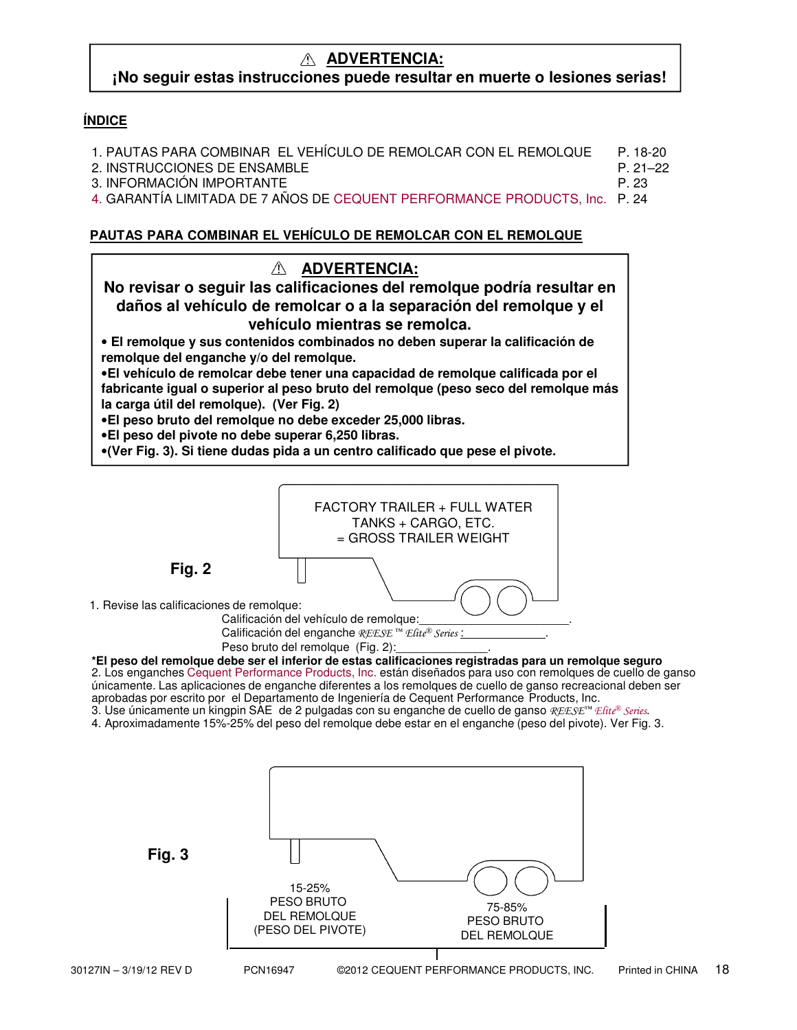## **ADVERTENCIA: ¡No seguir estas instrucciones puede resultar en muerte o lesiones serias!**

## **ÍNDICE**

| 1. PAUTAS PARA COMBINAR EL VEHÍCULO DE REMOLCAR CON EL REMOLQUE                                                                                                                                                                    | P 18-20 |
|------------------------------------------------------------------------------------------------------------------------------------------------------------------------------------------------------------------------------------|---------|
| 2. INSTRUCCIONES DE ENSAMBLE                                                                                                                                                                                                       | P 21-22 |
| 3. INFORMACIÓN IMPORTANTE                                                                                                                                                                                                          | P 23    |
| 4. GARANTÍA LIMITADA DE 7 AÑOS DE CEQUENT PERFORMANCE PRODUCTS, Inc. P. 24                                                                                                                                                         |         |
|                                                                                                                                                                                                                                    |         |
| $\mathcal{L}$ . The contract of the contract of the contract of the contract of the contract of the contract of the contract of the contract of the contract of the contract of the contract of the contract of the contract of th |         |

# **PAUTAS PARA COMBINAR EL VEHÍCULO DE REMOLCAR CON EL REMOLQUE**

![](_page_17_Figure_4.jpeg)

**Fig. 2**

1. Revise las calificaciones de remolque:

Calificación del vehículo de remolque: Calificación del enganche REESE<sup>™</sup> Elite® Series :

Peso bruto del remolque (Fig. 2):

**\*El peso del remolque debe ser el inferior de estas calificaciones registradas para un remolque seguro** 2. Los enganches Cequent Performance Products, Inc. están diseñados para uso con remolques de cuello de ganso únicamente. Las aplicaciones de enganche diferentes a los remolques de cuello de ganso recreacional deben ser aprobadas por escrito por el Departamento de Ingeniería de Cequent Performance Products, Inc. 3. Use únicamente un kingpin SAE de 2 pulgadas con su enganche de cuello de ganso REESE™ Efite® Series.

4. Aproximadamente 15%-25% del peso del remolque debe estar en el enganche (peso del pivote). Ver Fig. 3.

![](_page_17_Figure_11.jpeg)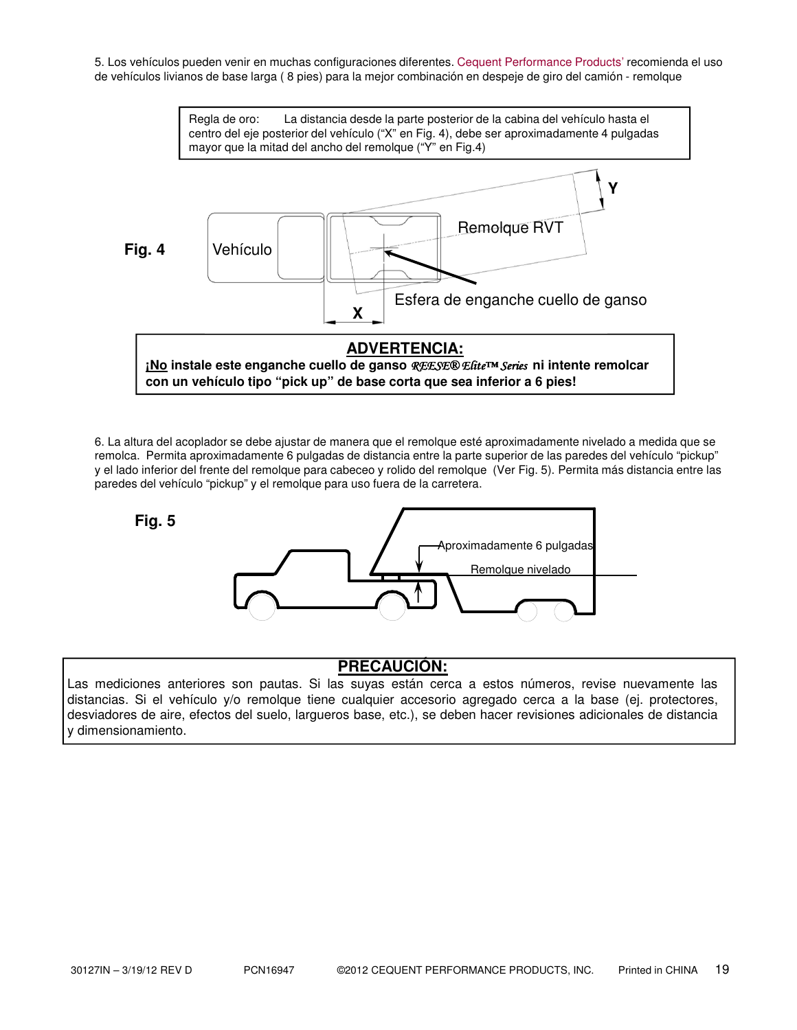5. Los vehículos pueden venir en muchas configuraciones diferentes. Cequent Performance Products' recomienda el uso de vehículos livianos de base larga ( 8 pies) para la mejor combinación en despeje de giro del camión - remolque

![](_page_18_Figure_1.jpeg)

6. La altura del acoplador se debe ajustar de manera que el remolque esté aproximadamente nivelado a medida que se remolca. Permita aproximadamente 6 pulgadas de distancia entre la parte superior de las paredes del vehículo "pickup" y el lado inferior del frente del remolque para cabeceo y rolido del remolque (Ver Fig. 5). Permita más distancia entre las paredes del vehículo "pickup" y el remolque para uso fuera de la carretera.

![](_page_18_Figure_3.jpeg)

# **PRECAUCIÓN:**

Las mediciones anteriores son pautas. Si las suyas están cerca a estos números, revise nuevamente las distancias. Si el vehículo y/o remolque tiene cualquier accesorio agregado cerca a la base (ej. protectores, desviadores de aire, efectos del suelo, largueros base, etc.), se deben hacer revisiones adicionales de distancia y dimensionamiento.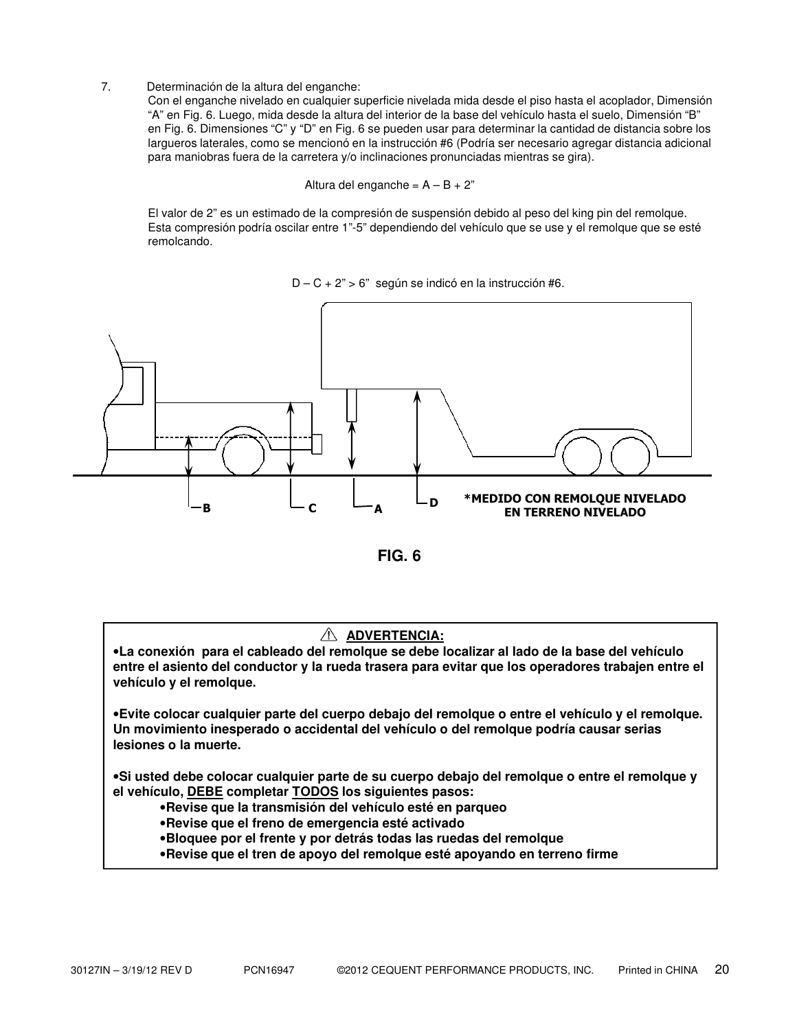7. Determinación de la altura del enganche:

Con el enganche nivelado en cualquier superficie nivelada mida desde el piso hasta el acoplador, Dimensión "A" en Fig. 6. Luego, mida desde la altura del interior de la base del vehículo hasta el suelo, Dimensión "B" en Fig. 6. Dimensiones "C" y "D" en Fig. 6 se pueden usar para determinar la cantidad de distancia sobre los largueros laterales, como se mencionó en la instrucción #6 (Podría ser necesario agregar distancia adicional para maniobras fuera de la carretera y/o inclinaciones pronunciadas mientras se gira).

Altura del enganche =  $A - B + 2$ "

El valor de 2" es un estimado de la compresión de suspensión debido al peso del king pin del remolque. Esta compresión podría oscilar entre 1"-5" dependiendo del vehículo que se use y el remolque que se esté remolcando.

 $D - C + 2$ " > 6" según se indicó en la instrucción #6.

![](_page_19_Figure_5.jpeg)

**FIG. 6**

### **ADVERTENCIA:**

•**La conexión para el cableado del remolque se debe localizar al lado de la base del vehículo entre el asiento del conductor y la rueda trasera para evitar que los operadores trabajen entre el vehículo y el remolque.**

•**Evite colocar cualquier parte del cuerpo debajo del remolque o entre el vehículo y el remolque. Un movimiento inesperado o accidental del vehículo o del remolque podría causar serias lesiones o la muerte.**

•**Si usted debe colocar cualquier parte de su cuerpo debajo del remolque o entre el remolque y el vehículo, DEBE completar TODOS los siguientes pasos:**

- •**Revise que la transmisión del vehículo esté en parqueo**
- •**Revise que el freno de emergencia esté activado**
- •**Bloquee por el frente y por detrás todas las ruedas del remolque**
- •**Revise que el tren de apoyo del remolque esté apoyando en terreno firme**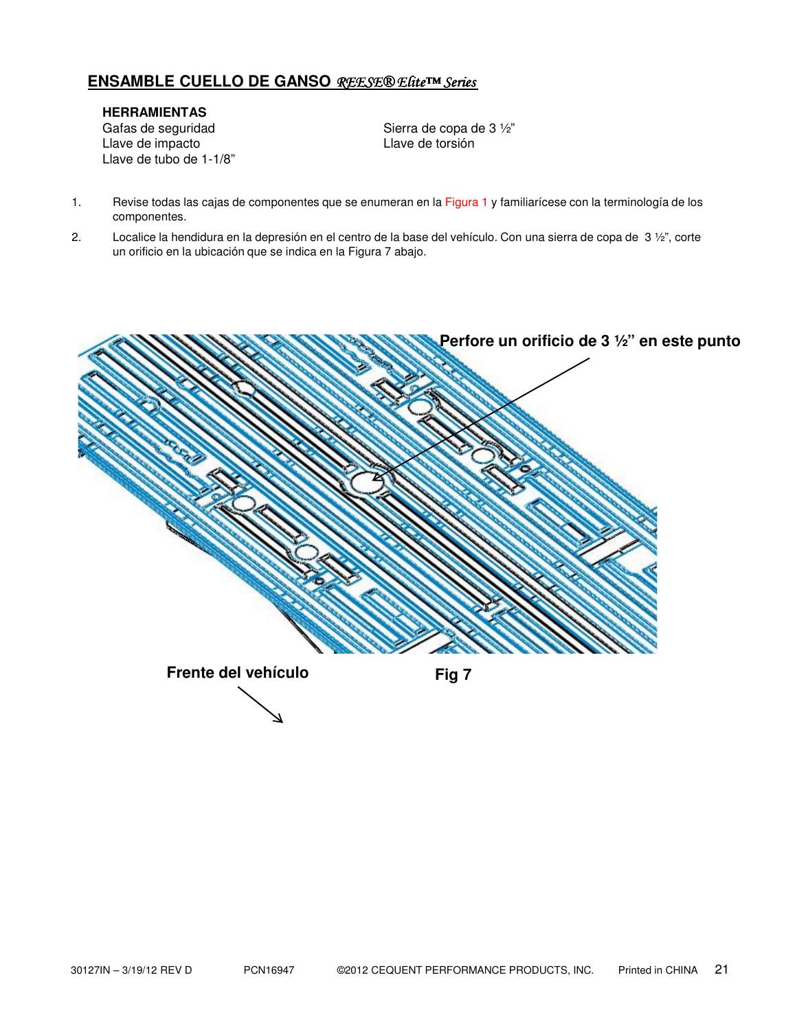## **ENSAMBLE CUELLO DE GANSO** REESE® Elite™ Series

**HERRAMIENTAS** Gafas de seguridad Sierra de copa de 3 ½"<br>Llave de impacto<br>Sierra de torsión Llave de impacto Llave de tubo de 1-1/8"

- 1. Revise todas las cajas de componentes que se enumeran en la Figura 1 y familiarícese con la terminología de los componentes.
- 2. Localice la hendidura en la depresión en el centro de la base del vehículo. Con una sierra de copa de  $3\frac{1}{2}$ ", corte un orificio en la ubicación que se indica en la Figura 7 abajo.

![](_page_20_Figure_5.jpeg)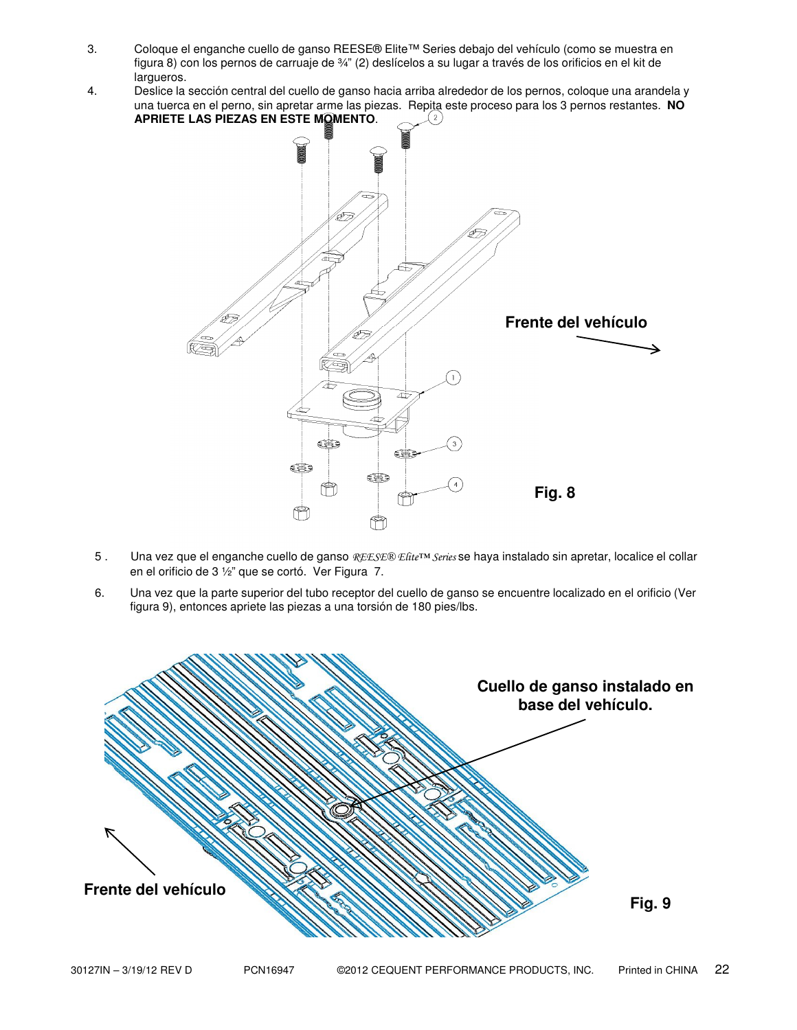- 3. Coloque el enganche cuello de ganso REESE® Elite™ Series debajo del vehículo (como se muestra en figura 8) con los pernos de carruaje de ¾" (2) deslícelos a su lugar a través de los orificios en el kit de largueros.
- 4. Deslice la sección central del cuello de ganso hacia arriba alrededor de los pernos, coloque una arandela y una tuerca en el perno, sin apretar arme las piezas. Repita este proceso para los 3 pernos restantes. **NO APRIETE LAS PIEZAS EN ESTE MOMENTO**.  $(2)$

![](_page_21_Figure_2.jpeg)

- 5 . Una vez que el enganche cuello de ganso REESE® Efite™ Series se haya instalado sin apretar, localice el collar en el orificio de 3 ½" que se cortó. Ver Figura 7.
- 6. Una vez que la parte superior del tubo receptor del cuello de ganso se encuentre localizado en el orificio (Ver figura 9), entonces apriete las piezas a una torsión de 180 pies/lbs.

![](_page_21_Figure_5.jpeg)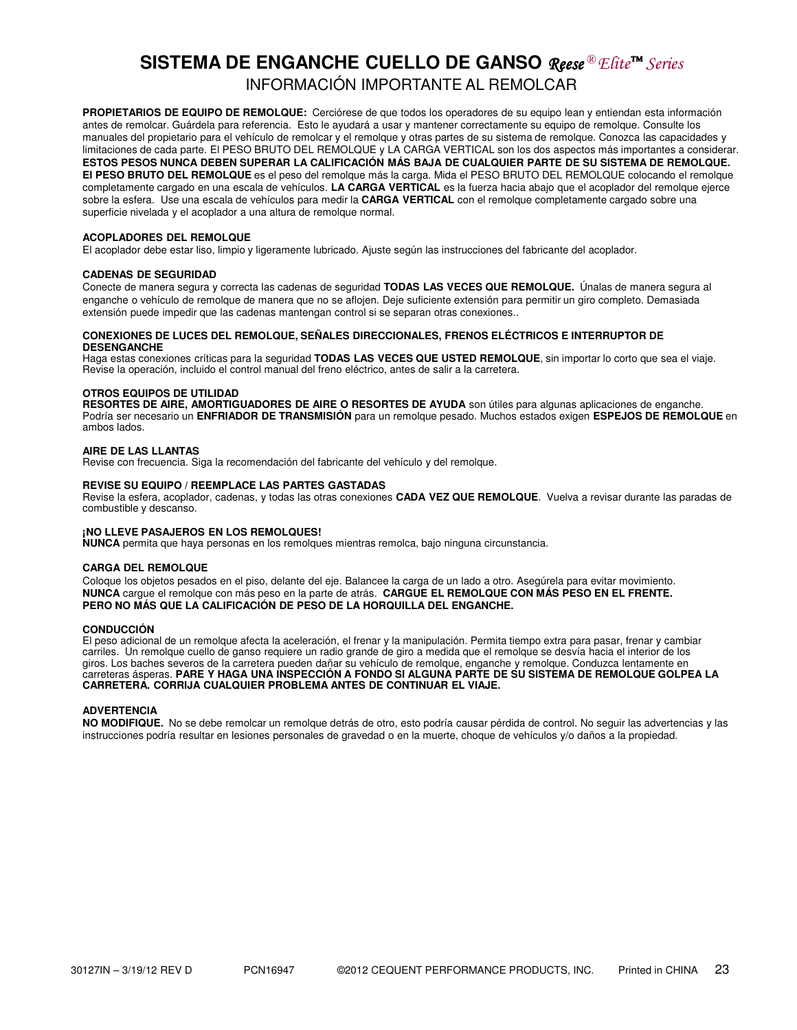# **SISTEMA DE ENGANCHE CUELLO DE GANSO** *Reese* **®** *Elite***™ Series** INFORMACIÓN IMPORTANTE AL REMOLCAR

**PROPIETARIOS DE EQUIPO DE REMOLQUE:** Cerciórese de que todos los operadores de su equipo lean y entiendan esta información antes de remolcar. Guárdela para referencia. Esto le ayudará a usar y mantener correctamente su equipo de remolque. Consulte los manuales del propietario para el vehículo de remolcar y el remolque y otras partes de su sistema de remolque. Conozca las capacidades y limitaciones de cada parte. El PESO BRUTO DEL REMOLQUE y LA CARGA VERTICAL son los dos aspectos más importantes a considerar. **ESTOS PESOS NUNCA DEBEN SUPERAR LA CALIFICACIÓN MÁS BAJA DE CUALQUIER PARTE DE SU SISTEMA DE REMOLQUE. El PESO BRUTO DEL REMOLQUE** es el peso del remolque más la carga. Mida el PESO BRUTO DEL REMOLQUE colocando el remolque completamente cargado en una escala de vehículos. **LA CARGA VERTICAL** es la fuerza hacia abajo que el acoplador del remolque ejerce sobre la esfera. Use una escala de vehículos para medir la **CARGA VERTICAL** con el remolque completamente cargado sobre una superficie nivelada y el acoplador a una altura de remolque normal.

#### **ACOPLADORES DEL REMOLQUE**

El acoplador debe estar liso, limpio y ligeramente lubricado. Ajuste según las instrucciones del fabricante del acoplador.

#### **CADENAS DE SEGURIDAD**

Conecte de manera segura y correcta las cadenas de seguridad **TODAS LAS VECES QUE REMOLQUE.** Únalas de manera segura al enganche o vehículo de remolque de manera que no se aflojen. Deje suficiente extensión para permitir un giro completo. Demasiada extensión puede impedir que las cadenas mantengan control si se separan otras conexiones..

#### **CONEXIONES DE LUCES DEL REMOLQUE, SEÑALES DIRECCIONALES, FRENOS ELÉCTRICOS E INTERRUPTOR DE DESENGANCHE**

Haga estas conexiones críticas para la seguridad **TODAS LAS VECES QUE USTED REMOLQUE**, sin importar lo corto que sea el viaje. Revise la operación, incluido el control manual del freno eléctrico, antes de salir a la carretera.

#### **OTROS EQUIPOS DE UTILIDAD**

**RESORTES DE AIRE, AMORTIGUADORES DE AIRE O RESORTES DE AYUDA** son útiles para algunas aplicaciones de enganche. Podría ser necesario un **ENFRIADOR DE TRANSMISIÓN** para un remolque pesado. Muchos estados exigen **ESPEJOS DE REMOLQUE** en ambos lados.

#### **AIRE DE LAS LLANTAS**

Revise con frecuencia. Siga la recomendación del fabricante del vehículo y del remolque.

#### **REVISE SU EQUIPO / REEMPLACE LAS PARTES GASTADAS**

Revise la esfera, acoplador, cadenas, y todas las otras conexiones **CADA VEZ QUE REMOLQUE**. Vuelva a revisar durante las paradas de combustible y descanso.

#### **¡NO LLEVE PASAJEROS EN LOS REMOLQUES!**

**NUNCA** permita que haya personas en los remolques mientras remolca, bajo ninguna circunstancia.

#### **CARGA DEL REMOLQUE**

Coloque los objetos pesados en el piso, delante del eje. Balancee la carga de un lado a otro. Asegúrela para evitar movimiento. **NUNCA** cargue el remolque con más peso en la parte de atrás. **CARGUE EL REMOLQUE CON MÁS PESO EN EL FRENTE. PERO NO MÁS QUE LA CALIFICACIÓN DE PESO DE LA HORQUILLA DEL ENGANCHE.**

#### **CONDUCCIÓN**

El peso adicional de un remolque afecta la aceleración, el frenar y la manipulación. Permita tiempo extra para pasar, frenar y cambiar carriles. Un remolque cuello de ganso requiere un radio grande de giro a medida que el remolque se desvía hacia el interior de los giros. Los baches severos de la carretera pueden dañar su vehículo de remolque, enganche y remolque. Conduzca lentamente en carreteras ásperas. **PARE Y HAGA UNA INSPECCIÓN A FONDO SI ALGUNA PARTE DE SU SISTEMA DE REMOLQUE GOLPEA LA CARRETERA. CORRIJA CUALQUIER PROBLEMA ANTES DE CONTINUAR EL VIAJE.**

#### **ADVERTENCIA**

**NO MODIFIQUE.** No se debe remolcar un remolque detrás de otro, esto podría causar pérdida de control. No seguir las advertencias y las instrucciones podría resultar en lesiones personales de gravedad o en la muerte, choque de vehículos y/o daños a la propiedad.